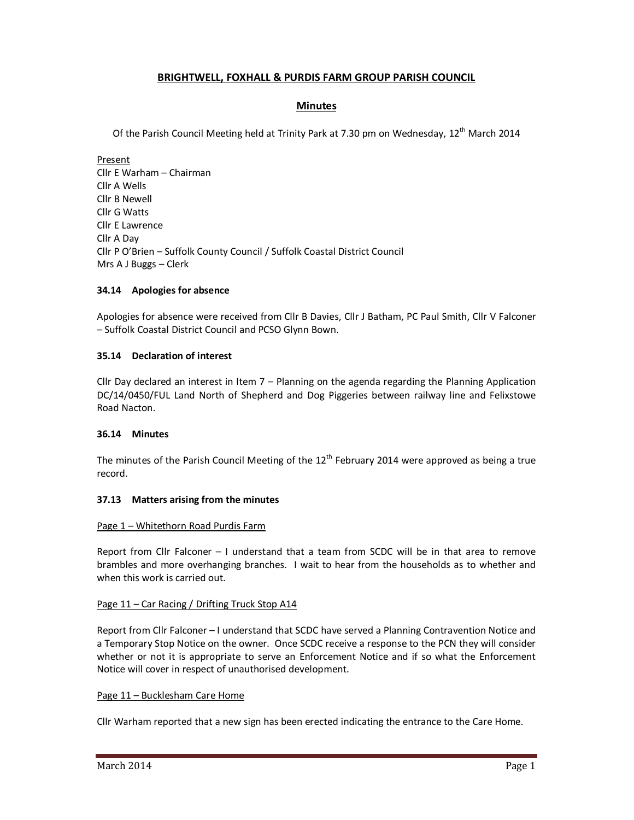# **BRIGHTWELL, FOXHALL & PURDIS FARM GROUP PARISH COUNCIL**

## **Minutes**

Of the Parish Council Meeting held at Trinity Park at 7.30 pm on Wednesday, 12<sup>th</sup> March 2014

Present Cllr E Warham – Chairman Cllr A Wells Cllr B Newell Cllr G Watts Cllr E Lawrence Cllr A Day Cllr P O'Brien – Suffolk County Council / Suffolk Coastal District Council Mrs A J Buggs – Clerk

## **34.14 Apologies for absence**

Apologies for absence were received from Cllr B Davies, Cllr J Batham, PC Paul Smith, Cllr V Falconer – Suffolk Coastal District Council and PCSO Glynn Bown.

### **35.14 Declaration of interest**

Cllr Day declared an interest in Item 7 – Planning on the agenda regarding the Planning Application DC/14/0450/FUL Land North of Shepherd and Dog Piggeries between railway line and Felixstowe Road Nacton.

#### **36.14 Minutes**

The minutes of the Parish Council Meeting of the  $12<sup>th</sup>$  February 2014 were approved as being a true record.

#### **37.13 Matters arising from the minutes**

#### Page 1 – Whitethorn Road Purdis Farm

Report from Cllr Falconer – I understand that a team from SCDC will be in that area to remove brambles and more overhanging branches. I wait to hear from the households as to whether and when this work is carried out.

#### Page 11 – Car Racing / Drifting Truck Stop A14

Report from Cllr Falconer – I understand that SCDC have served a Planning Contravention Notice and a Temporary Stop Notice on the owner. Once SCDC receive a response to the PCN they will consider whether or not it is appropriate to serve an Enforcement Notice and if so what the Enforcement Notice will cover in respect of unauthorised development.

#### Page 11 – Bucklesham Care Home

Cllr Warham reported that a new sign has been erected indicating the entrance to the Care Home.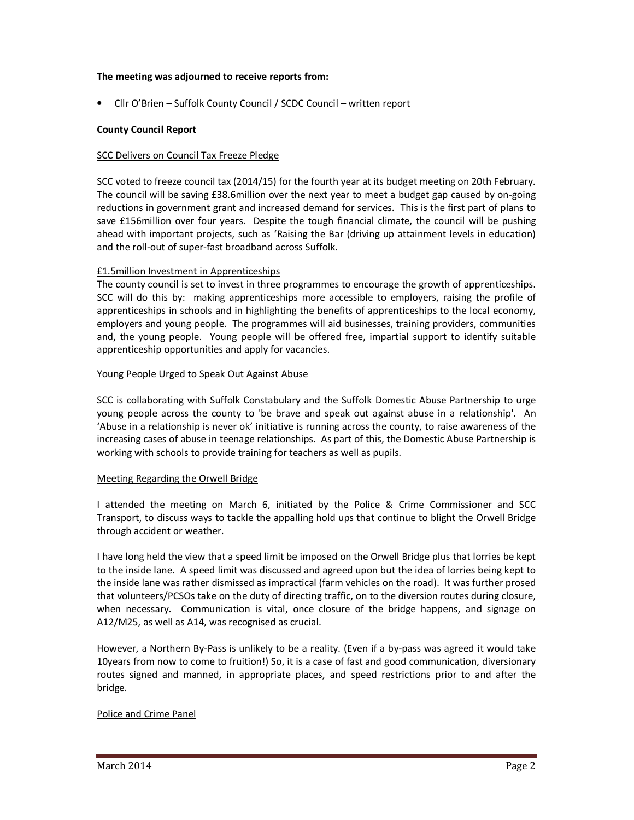### **The meeting was adjourned to receive reports from:**

• Cllr O'Brien – Suffolk County Council / SCDC Council – written report

### **County Council Report**

### SCC Delivers on Council Tax Freeze Pledge

SCC voted to freeze council tax (2014/15) for the fourth year at its budget meeting on 20th February. The council will be saving £38.6million over the next year to meet a budget gap caused by on-going reductions in government grant and increased demand for services. This is the first part of plans to save £156million over four years. Despite the tough financial climate, the council will be pushing ahead with important projects, such as 'Raising the Bar (driving up attainment levels in education) and the roll-out of super-fast broadband across Suffolk.

### £1.5million Investment in Apprenticeships

The county council is set to invest in three programmes to encourage the growth of apprenticeships. SCC will do this by: making apprenticeships more accessible to employers, raising the profile of apprenticeships in schools and in highlighting the benefits of apprenticeships to the local economy, employers and young people. The programmes will aid businesses, training providers, communities and, the young people. Young people will be offered free, impartial support to identify suitable apprenticeship opportunities and apply for vacancies.

#### Young People Urged to Speak Out Against Abuse

SCC is collaborating with Suffolk Constabulary and the Suffolk Domestic Abuse Partnership to urge young people across the county to 'be brave and speak out against abuse in a relationship'. An 'Abuse in a relationship is never ok' initiative is running across the county, to raise awareness of the increasing cases of abuse in teenage relationships. As part of this, the Domestic Abuse Partnership is working with schools to provide training for teachers as well as pupils.

#### Meeting Regarding the Orwell Bridge

I attended the meeting on March 6, initiated by the Police & Crime Commissioner and SCC Transport, to discuss ways to tackle the appalling hold ups that continue to blight the Orwell Bridge through accident or weather.

I have long held the view that a speed limit be imposed on the Orwell Bridge plus that lorries be kept to the inside lane. A speed limit was discussed and agreed upon but the idea of lorries being kept to the inside lane was rather dismissed as impractical (farm vehicles on the road). It was further prosed that volunteers/PCSOs take on the duty of directing traffic, on to the diversion routes during closure, when necessary. Communication is vital, once closure of the bridge happens, and signage on A12/M25, as well as A14, was recognised as crucial.

However, a Northern By-Pass is unlikely to be a reality. (Even if a by-pass was agreed it would take 10years from now to come to fruition!) So, it is a case of fast and good communication, diversionary routes signed and manned, in appropriate places, and speed restrictions prior to and after the bridge.

## Police and Crime Panel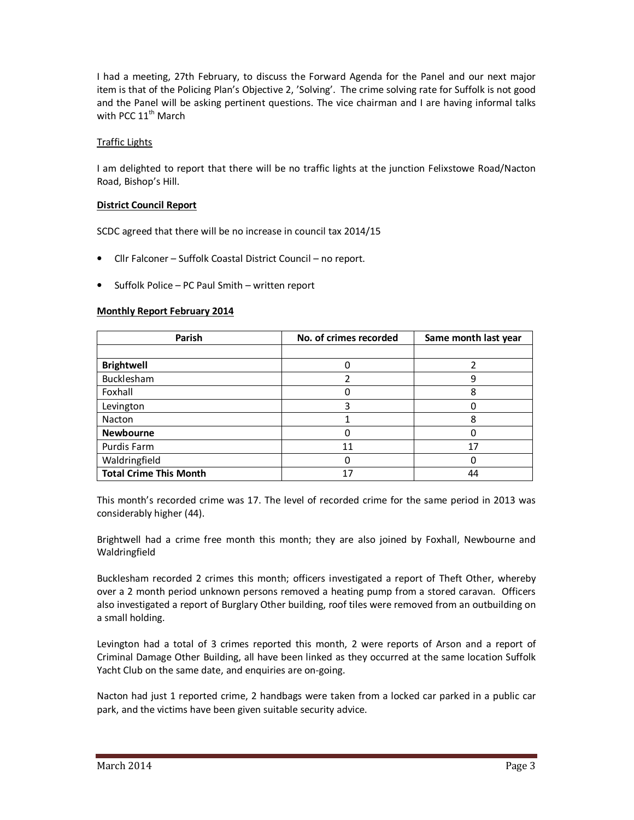I had a meeting, 27th February, to discuss the Forward Agenda for the Panel and our next major item is that of the Policing Plan's Objective 2, 'Solving'. The crime solving rate for Suffolk is not good and the Panel will be asking pertinent questions. The vice chairman and I are having informal talks with PCC 11<sup>th</sup> March

## Traffic Lights

I am delighted to report that there will be no traffic lights at the junction Felixstowe Road/Nacton Road, Bishop's Hill.

## **District Council Report**

SCDC agreed that there will be no increase in council tax 2014/15

- Cllr Falconer Suffolk Coastal District Council no report.
- Suffolk Police PC Paul Smith written report

## **Monthly Report February 2014**

| Parish                        | No. of crimes recorded | Same month last year |
|-------------------------------|------------------------|----------------------|
|                               |                        |                      |
| <b>Brightwell</b>             |                        |                      |
| Bucklesham                    |                        | 9                    |
| Foxhall                       |                        | 8                    |
| Levington                     |                        |                      |
| Nacton                        |                        | 8                    |
| <b>Newbourne</b>              |                        |                      |
| Purdis Farm                   | 11                     | 17                   |
| Waldringfield                 |                        |                      |
| <b>Total Crime This Month</b> |                        | 44                   |

This month's recorded crime was 17. The level of recorded crime for the same period in 2013 was considerably higher (44).

Brightwell had a crime free month this month; they are also joined by Foxhall, Newbourne and Waldringfield

Bucklesham recorded 2 crimes this month; officers investigated a report of Theft Other, whereby over a 2 month period unknown persons removed a heating pump from a stored caravan. Officers also investigated a report of Burglary Other building, roof tiles were removed from an outbuilding on a small holding.

Levington had a total of 3 crimes reported this month, 2 were reports of Arson and a report of Criminal Damage Other Building, all have been linked as they occurred at the same location Suffolk Yacht Club on the same date, and enquiries are on-going.

Nacton had just 1 reported crime, 2 handbags were taken from a locked car parked in a public car park, and the victims have been given suitable security advice.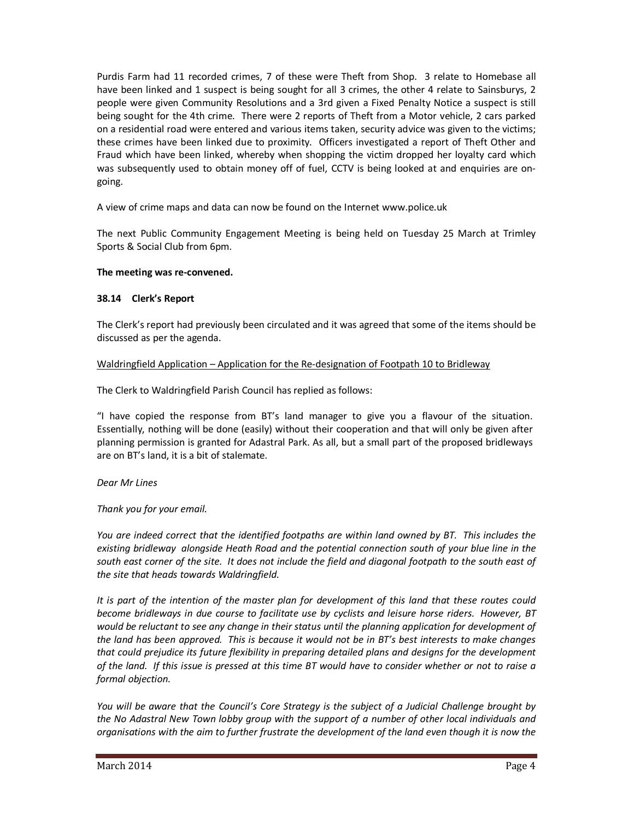Purdis Farm had 11 recorded crimes, 7 of these were Theft from Shop. 3 relate to Homebase all have been linked and 1 suspect is being sought for all 3 crimes, the other 4 relate to Sainsburys, 2 people were given Community Resolutions and a 3rd given a Fixed Penalty Notice a suspect is still being sought for the 4th crime. There were 2 reports of Theft from a Motor vehicle, 2 cars parked on a residential road were entered and various items taken, security advice was given to the victims; these crimes have been linked due to proximity. Officers investigated a report of Theft Other and Fraud which have been linked, whereby when shopping the victim dropped her loyalty card which was subsequently used to obtain money off of fuel, CCTV is being looked at and enquiries are ongoing.

A view of crime maps and data can now be found on the Internet www.police.uk

The next Public Community Engagement Meeting is being held on Tuesday 25 March at Trimley Sports & Social Club from 6pm.

### **The meeting was re-convened.**

### **38.14 Clerk's Report**

The Clerk's report had previously been circulated and it was agreed that some of the items should be discussed as per the agenda.

### Waldringfield Application – Application for the Re-designation of Footpath 10 to Bridleway

The Clerk to Waldringfield Parish Council has replied as follows:

"I have copied the response from BT's land manager to give you a flavour of the situation. Essentially, nothing will be done (easily) without their cooperation and that will only be given after planning permission is granted for Adastral Park. As all, but a small part of the proposed bridleways are on BT's land, it is a bit of stalemate.

#### *Dear Mr Lines*

*Thank you for your email.*

*You are indeed correct that the identified footpaths are within land owned by BT. This includes the*  existing bridleway alongside Heath Road and the potential connection south of your blue line in the *south east corner of the site. It does not include the field and diagonal footpath to the south east of the site that heads towards Waldringfield.*

*It is part of the intention of the master plan for development of this land that these routes could become bridleways in due course to facilitate use by cyclists and leisure horse riders. However, BT would be reluctant to see any change in their status until the planning application for development of the land has been approved. This is because it would not be in BT's best interests to make changes that could prejudice its future flexibility in preparing detailed plans and designs for the development of the land. If this issue is pressed at this time BT would have to consider whether or not to raise a formal objection.*

*You will be aware that the Council's Core Strategy is the subject of a Judicial Challenge brought by the No Adastral New Town lobby group with the support of a number of other local individuals and organisations with the aim to further frustrate the development of the land even though it is now the*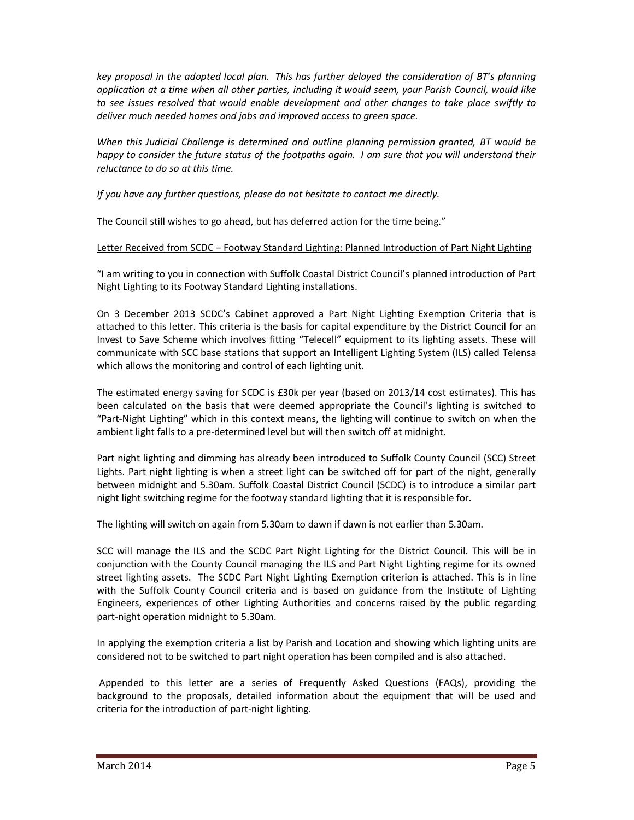*key proposal in the adopted local plan. This has further delayed the consideration of BT's planning application at a time when all other parties, including it would seem, your Parish Council, would like to see issues resolved that would enable development and other changes to take place swiftly to deliver much needed homes and jobs and improved access to green space.*

*When this Judicial Challenge is determined and outline planning permission granted, BT would be happy to consider the future status of the footpaths again. I am sure that you will understand their reluctance to do so at this time.*

*If you have any further questions, please do not hesitate to contact me directly.*

The Council still wishes to go ahead, but has deferred action for the time being."

### Letter Received from SCDC – Footway Standard Lighting: Planned Introduction of Part Night Lighting

"I am writing to you in connection with Suffolk Coastal District Council's planned introduction of Part Night Lighting to its Footway Standard Lighting installations.

On 3 December 2013 SCDC's Cabinet approved a Part Night Lighting Exemption Criteria that is attached to this letter. This criteria is the basis for capital expenditure by the District Council for an Invest to Save Scheme which involves fitting "Telecell" equipment to its lighting assets. These will communicate with SCC base stations that support an Intelligent Lighting System (ILS) called Telensa which allows the monitoring and control of each lighting unit.

The estimated energy saving for SCDC is £30k per year (based on 2013/14 cost estimates). This has been calculated on the basis that were deemed appropriate the Council's lighting is switched to "Part-Night Lighting" which in this context means, the lighting will continue to switch on when the ambient light falls to a pre-determined level but will then switch off at midnight.

Part night lighting and dimming has already been introduced to Suffolk County Council (SCC) Street Lights. Part night lighting is when a street light can be switched off for part of the night, generally between midnight and 5.30am. Suffolk Coastal District Council (SCDC) is to introduce a similar part night light switching regime for the footway standard lighting that it is responsible for.

The lighting will switch on again from 5.30am to dawn if dawn is not earlier than 5.30am.

SCC will manage the ILS and the SCDC Part Night Lighting for the District Council. This will be in conjunction with the County Council managing the ILS and Part Night Lighting regime for its owned street lighting assets. The SCDC Part Night Lighting Exemption criterion is attached. This is in line with the Suffolk County Council criteria and is based on guidance from the Institute of Lighting Engineers, experiences of other Lighting Authorities and concerns raised by the public regarding part-night operation midnight to 5.30am.

In applying the exemption criteria a list by Parish and Location and showing which lighting units are considered not to be switched to part night operation has been compiled and is also attached.

 Appended to this letter are a series of Frequently Asked Questions (FAQs), providing the background to the proposals, detailed information about the equipment that will be used and criteria for the introduction of part-night lighting.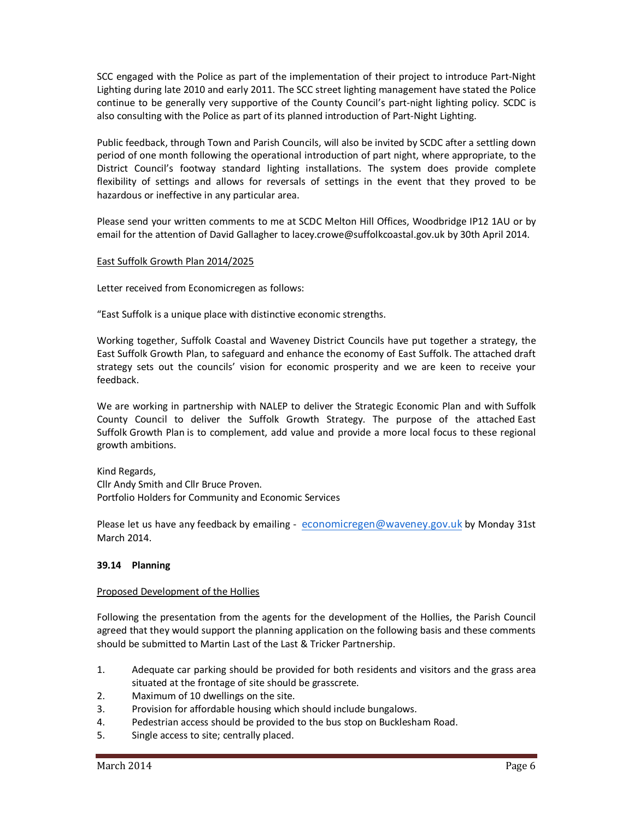SCC engaged with the Police as part of the implementation of their project to introduce Part-Night Lighting during late 2010 and early 2011. The SCC street lighting management have stated the Police continue to be generally very supportive of the County Council's part-night lighting policy. SCDC is also consulting with the Police as part of its planned introduction of Part-Night Lighting.

Public feedback, through Town and Parish Councils, will also be invited by SCDC after a settling down period of one month following the operational introduction of part night, where appropriate, to the District Council's footway standard lighting installations. The system does provide complete flexibility of settings and allows for reversals of settings in the event that they proved to be hazardous or ineffective in any particular area.

Please send your written comments to me at SCDC Melton Hill Offices, Woodbridge IP12 1AU or by email for the attention of David Gallagher to lacey.crowe@suffolkcoastal.gov.uk by 30th April 2014.

### East Suffolk Growth Plan 2014/2025

Letter received from Economicregen as follows:

"East Suffolk is a unique place with distinctive economic strengths.

Working together, Suffolk Coastal and Waveney District Councils have put together a strategy, the East Suffolk Growth Plan, to safeguard and enhance the economy of East Suffolk. The attached draft strategy sets out the councils' vision for economic prosperity and we are keen to receive your feedback.

We are working in partnership with NALEP to deliver the Strategic Economic Plan and with Suffolk County Council to deliver the Suffolk Growth Strategy. The purpose of the attached East Suffolk Growth Plan is to complement, add value and provide a more local focus to these regional growth ambitions.

Kind Regards, Cllr Andy Smith and Cllr Bruce Proven. Portfolio Holders for Community and Economic Services

Please let us have any feedback by emailing - economicregen@waveney.gov.uk by Monday 31st March 2014.

#### **39.14 Planning**

#### Proposed Development of the Hollies

Following the presentation from the agents for the development of the Hollies, the Parish Council agreed that they would support the planning application on the following basis and these comments should be submitted to Martin Last of the Last & Tricker Partnership.

- 1. Adequate car parking should be provided for both residents and visitors and the grass area situated at the frontage of site should be grasscrete.
- 2. Maximum of 10 dwellings on the site.
- 3. Provision for affordable housing which should include bungalows.
- 4. Pedestrian access should be provided to the bus stop on Bucklesham Road.
- 5. Single access to site; centrally placed.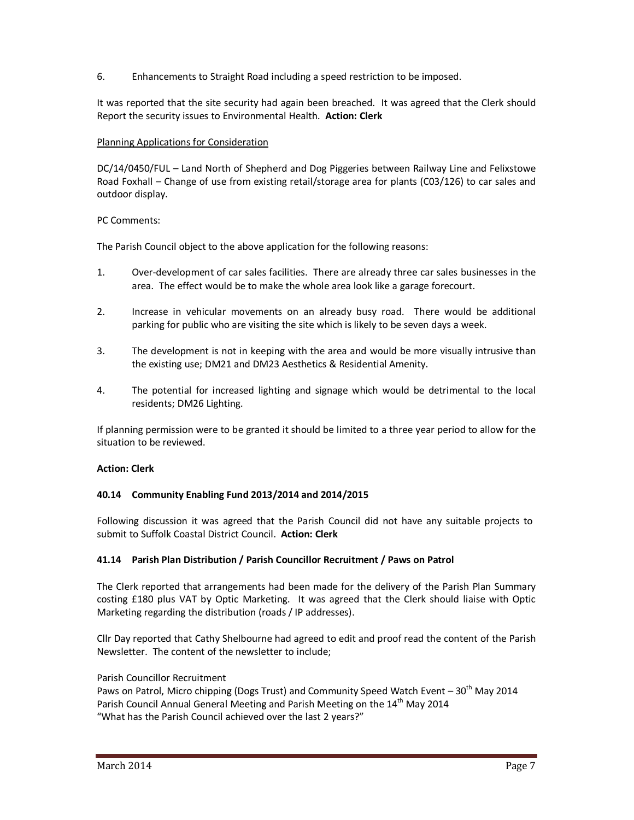6. Enhancements to Straight Road including a speed restriction to be imposed.

It was reported that the site security had again been breached. It was agreed that the Clerk should Report the security issues to Environmental Health. **Action: Clerk** 

### Planning Applications for Consideration

DC/14/0450/FUL – Land North of Shepherd and Dog Piggeries between Railway Line and Felixstowe Road Foxhall – Change of use from existing retail/storage area for plants (C03/126) to car sales and outdoor display.

### PC Comments:

The Parish Council object to the above application for the following reasons:

- 1. Over-development of car sales facilities. There are already three car sales businesses in the area. The effect would be to make the whole area look like a garage forecourt.
- 2. Increase in vehicular movements on an already busy road. There would be additional parking for public who are visiting the site which is likely to be seven days a week.
- 3. The development is not in keeping with the area and would be more visually intrusive than the existing use; DM21 and DM23 Aesthetics & Residential Amenity.
- 4. The potential for increased lighting and signage which would be detrimental to the local residents; DM26 Lighting.

If planning permission were to be granted it should be limited to a three year period to allow for the situation to be reviewed.

#### **Action: Clerk**

#### **40.14 Community Enabling Fund 2013/2014 and 2014/2015**

Following discussion it was agreed that the Parish Council did not have any suitable projects to submit to Suffolk Coastal District Council. **Action: Clerk** 

## **41.14 Parish Plan Distribution / Parish Councillor Recruitment / Paws on Patrol**

The Clerk reported that arrangements had been made for the delivery of the Parish Plan Summary costing £180 plus VAT by Optic Marketing. It was agreed that the Clerk should liaise with Optic Marketing regarding the distribution (roads / IP addresses).

Cllr Day reported that Cathy Shelbourne had agreed to edit and proof read the content of the Parish Newsletter. The content of the newsletter to include;

#### Parish Councillor Recruitment

Paws on Patrol, Micro chipping (Dogs Trust) and Community Speed Watch Event  $-30<sup>th</sup>$  May 2014 Parish Council Annual General Meeting and Parish Meeting on the 14<sup>th</sup> May 2014 "What has the Parish Council achieved over the last 2 years?"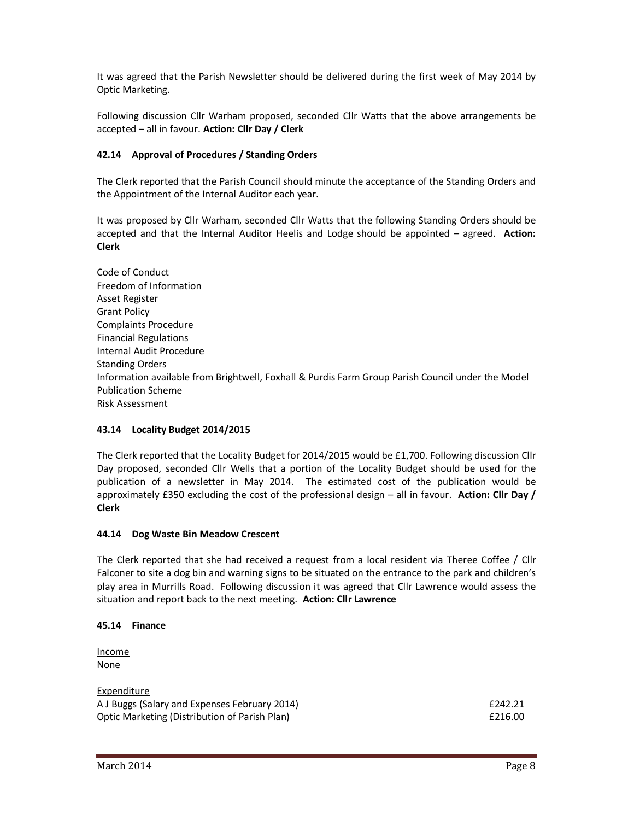It was agreed that the Parish Newsletter should be delivered during the first week of May 2014 by Optic Marketing.

Following discussion Cllr Warham proposed, seconded Cllr Watts that the above arrangements be accepted – all in favour. **Action: Cllr Day / Clerk** 

### **42.14 Approval of Procedures / Standing Orders**

The Clerk reported that the Parish Council should minute the acceptance of the Standing Orders and the Appointment of the Internal Auditor each year.

It was proposed by Cllr Warham, seconded Cllr Watts that the following Standing Orders should be accepted and that the Internal Auditor Heelis and Lodge should be appointed – agreed. **Action: Clerk**

Code of Conduct Freedom of Information Asset Register Grant Policy Complaints Procedure Financial Regulations Internal Audit Procedure Standing Orders Information available from Brightwell, Foxhall & Purdis Farm Group Parish Council under the Model Publication Scheme Risk Assessment

## **43.14 Locality Budget 2014/2015**

The Clerk reported that the Locality Budget for 2014/2015 would be £1,700. Following discussion Cllr Day proposed, seconded Cllr Wells that a portion of the Locality Budget should be used for the publication of a newsletter in May 2014. The estimated cost of the publication would be approximately £350 excluding the cost of the professional design – all in favour. **Action: Cllr Day / Clerk**

#### **44.14 Dog Waste Bin Meadow Crescent**

The Clerk reported that she had received a request from a local resident via Theree Coffee / Cllr Falconer to site a dog bin and warning signs to be situated on the entrance to the park and children's play area in Murrills Road. Following discussion it was agreed that Cllr Lawrence would assess the situation and report back to the next meeting. **Action: Cllr Lawrence** 

#### **45.14 Finance**

Income None

| Expenditure                                   |         |
|-----------------------------------------------|---------|
| A J Buggs (Salary and Expenses February 2014) | £242.21 |
| Optic Marketing (Distribution of Parish Plan) | £216.00 |